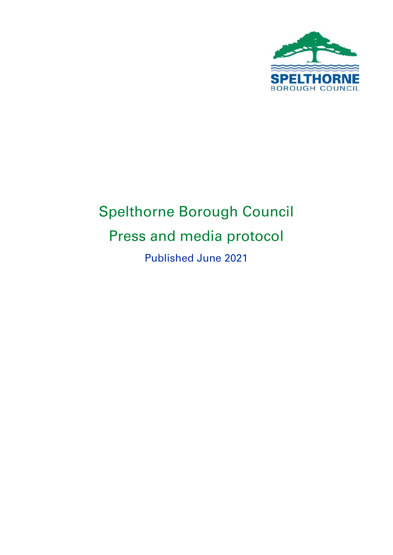

# Spelthorne Borough Council Press and media protocol Published June 2021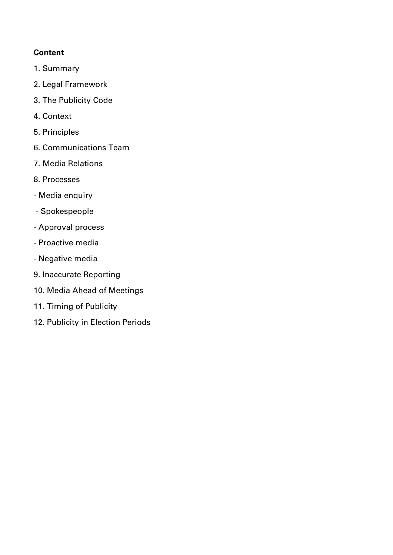#### **Content**

- 1. Summary
- 2. Legal Framework
- 3. The Publicity Code
- 4. Context
- 5. Principles
- 6. Communications Team
- 7. Media Relations
- 8. Processes
- Media enquiry
- Spokespeople
- Approval process
- Proactive media
- Negative media
- 9. Inaccurate Reporting
- 10. Media Ahead of Meetings
- 11. Timing of Publicity
- 12. Publicity in Election Periods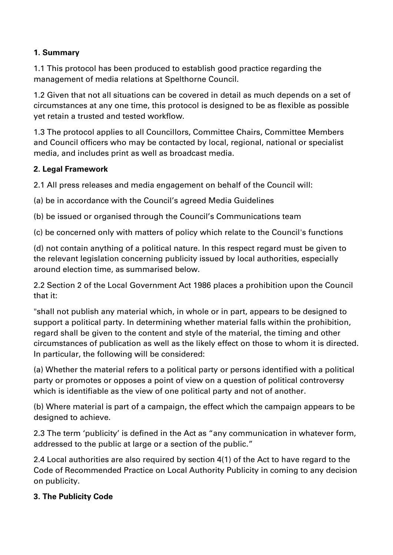### **1. Summary**

1.1 This protocol has been produced to establish good practice regarding the management of media relations at Spelthorne Council.

1.2 Given that not all situations can be covered in detail as much depends on a set of circumstances at any one time, this protocol is designed to be as flexible as possible yet retain a trusted and tested workflow.

1.3 The protocol applies to all Councillors, Committee Chairs, Committee Members and Council officers who may be contacted by local, regional, national or specialist media, and includes print as well as broadcast media.

#### **2. Legal Framework**

2.1 All press releases and media engagement on behalf of the Council will:

(a) be in accordance with the Council's agreed Media Guidelines

(b) be issued or organised through the Council's Communications team

(c) be concerned only with matters of policy which relate to the Council's functions

(d) not contain anything of a political nature. In this respect regard must be given to the relevant legislation concerning publicity issued by local authorities, especially around election time, as summarised below.

2.2 Section 2 of the Local Government Act 1986 places a prohibition upon the Council that it:

"shall not publish any material which, in whole or in part, appears to be designed to support a political party. In determining whether material falls within the prohibition, regard shall be given to the content and style of the material, the timing and other circumstances of publication as well as the likely effect on those to whom it is directed. In particular, the following will be considered:

(a) Whether the material refers to a political party or persons identified with a political party or promotes or opposes a point of view on a question of political controversy which is identifiable as the view of one political party and not of another.

(b) Where material is part of a campaign, the effect which the campaign appears to be designed to achieve.

2.3 The term 'publicity' is defined in the Act as "any communication in whatever form, addressed to the public at large or a section of the public."

2.4 Local authorities are also required by section 4(1) of the Act to have regard to the Code of Recommended Practice on Local Authority Publicity in coming to any decision on publicity.

#### **3. The Publicity Code**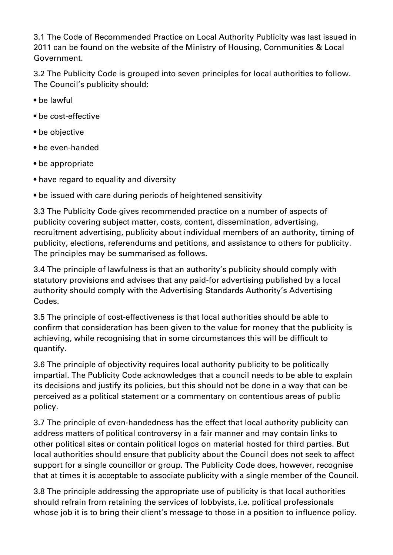3.1 The Code of Recommended Practice on Local Authority Publicity was last issued in 2011 can be found on the website of the Ministry of Housing, Communities & Local Government.

3.2 The Publicity Code is grouped into seven principles for local authorities to follow. The Council's publicity should:

- be lawful
- be cost-effective
- be objective
- be even-handed
- be appropriate
- have regard to equality and diversity
- be issued with care during periods of heightened sensitivity

3.3 The Publicity Code gives recommended practice on a number of aspects of publicity covering subject matter, costs, content, dissemination, advertising, recruitment advertising, publicity about individual members of an authority, timing of publicity, elections, referendums and petitions, and assistance to others for publicity. The principles may be summarised as follows.

3.4 The principle of lawfulness is that an authority's publicity should comply with statutory provisions and advises that any paid-for advertising published by a local authority should comply with the Advertising Standards Authority's Advertising Codes.

3.5 The principle of cost-effectiveness is that local authorities should be able to confirm that consideration has been given to the value for money that the publicity is achieving, while recognising that in some circumstances this will be difficult to quantify.

3.6 The principle of objectivity requires local authority publicity to be politically impartial. The Publicity Code acknowledges that a council needs to be able to explain its decisions and justify its policies, but this should not be done in a way that can be perceived as a political statement or a commentary on contentious areas of public policy.

3.7 The principle of even-handedness has the effect that local authority publicity can address matters of political controversy in a fair manner and may contain links to other political sites or contain political logos on material hosted for third parties. But local authorities should ensure that publicity about the Council does not seek to affect support for a single councillor or group. The Publicity Code does, however, recognise that at times it is acceptable to associate publicity with a single member of the Council.

3.8 The principle addressing the appropriate use of publicity is that local authorities should refrain from retaining the services of lobbyists, i.e. political professionals whose job it is to bring their client's message to those in a position to influence policy.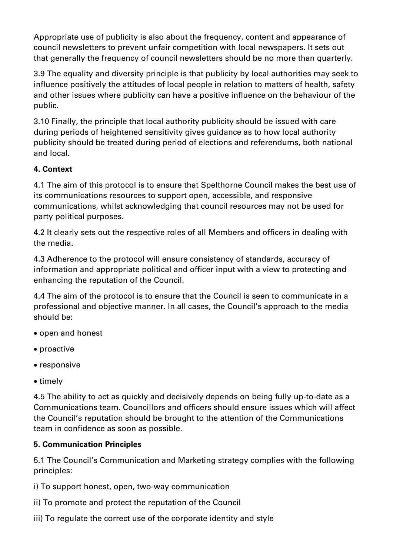Appropriate use of publicity is also about the frequency, content and appearance of council newsletters to prevent unfair competition with local newspapers. It sets out that generally the frequency of council newsletters should be no more than quarterly.

3.9 The equality and diversity principle is that publicity by local authorities may seek to influence positively the attitudes of local people in relation to matters of health, safety and other issues where publicity can have a positive influence on the behaviour of the public.

3.10 Finally, the principle that local authority publicity should be issued with care during periods of heightened sensitivity gives guidance as to how local authority publicity should be treated during period of elections and referendums, both national and local.

## **4. Context**

4.1 The aim of this protocol is to ensure that Spelthorne Council makes the best use of its communications resources to support open, accessible, and responsive communications, whilst acknowledging that council resources may not be used for party political purposes.

4.2 It clearly sets out the respective roles of all Members and officers in dealing with the media.

4.3 Adherence to the protocol will ensure consistency of standards, accuracy of information and appropriate political and officer input with a view to protecting and enhancing the reputation of the Council.

4.4 The aim of the protocol is to ensure that the Council is seen to communicate in a professional and objective manner. In all cases, the Council's approach to the media should be:

- open and honest
- proactive
- responsive
- timely

4.5 The ability to act as quickly and decisively depends on being fully up-to-date as a Communications team. Councillors and officers should ensure issues which will affect the Council's reputation should be brought to the attention of the Communications team in confidence as soon as possible.

# **5. Communication Principles**

5.1 The Council's Communication and Marketing strategy complies with the following principles:

i) To support honest, open, two-way communication

- ii) To promote and protect the reputation of the Council
- iii) To regulate the correct use of the corporate identity and style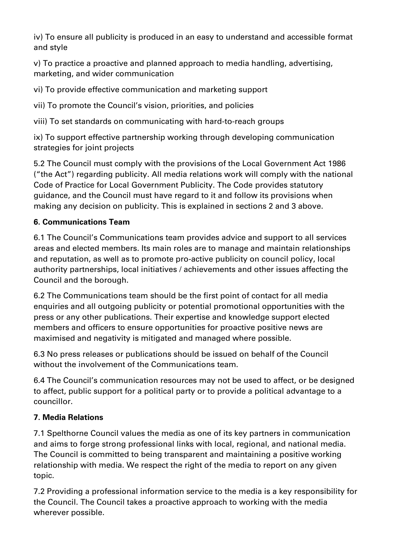iv) To ensure all publicity is produced in an easy to understand and accessible format and style

v) To practice a proactive and planned approach to media handling, advertising, marketing, and wider communication

vi) To provide effective communication and marketing support

vii) To promote the Council's vision, priorities, and policies

viii) To set standards on communicating with hard-to-reach groups

ix) To support effective partnership working through developing communication strategies for joint projects

5.2 The Council must comply with the provisions of the Local Government Act 1986 ("the Act") regarding publicity. All media relations work will comply with the national Code of Practice for Local Government Publicity. The Code provides statutory guidance, and the Council must have regard to it and follow its provisions when making any decision on publicity. This is explained in sections 2 and 3 above.

# **6. Communications Team**

6.1 The Council's Communications team provides advice and support to all services areas and elected members. Its main roles are to manage and maintain relationships and reputation, as well as to promote pro-active publicity on council policy, local authority partnerships, local initiatives / achievements and other issues affecting the Council and the borough.

6.2 The Communications team should be the first point of contact for all media enquiries and all outgoing publicity or potential promotional opportunities with the press or any other publications. Their expertise and knowledge support elected members and officers to ensure opportunities for proactive positive news are maximised and negativity is mitigated and managed where possible.

6.3 No press releases or publications should be issued on behalf of the Council without the involvement of the Communications team.

6.4 The Council's communication resources may not be used to affect, or be designed to affect, public support for a political party or to provide a political advantage to a councillor.

# **7. Media Relations**

7.1 Spelthorne Council values the media as one of its key partners in communication and aims to forge strong professional links with local, regional, and national media. The Council is committed to being transparent and maintaining a positive working relationship with media. We respect the right of the media to report on any given topic.

7.2 Providing a professional information service to the media is a key responsibility for the Council. The Council takes a proactive approach to working with the media wherever possible.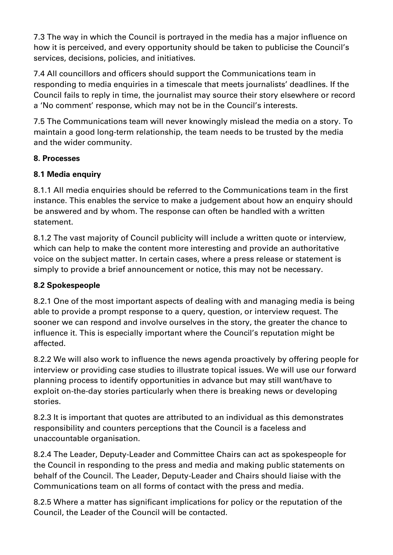7.3 The way in which the Council is portrayed in the media has a major influence on how it is perceived, and every opportunity should be taken to publicise the Council's services, decisions, policies, and initiatives.

7.4 All councillors and officers should support the Communications team in responding to media enquiries in a timescale that meets journalists' deadlines. If the Council fails to reply in time, the journalist may source their story elsewhere or record a 'No comment' response, which may not be in the Council's interests.

7.5 The Communications team will never knowingly mislead the media on a story. To maintain a good long-term relationship, the team needs to be trusted by the media and the wider community.

## **8. Processes**

# **8.1 Media enquiry**

8.1.1 All media enquiries should be referred to the Communications team in the first instance. This enables the service to make a judgement about how an enquiry should be answered and by whom. The response can often be handled with a written statement.

8.1.2 The vast majority of Council publicity will include a written quote or interview, which can help to make the content more interesting and provide an authoritative voice on the subject matter. In certain cases, where a press release or statement is simply to provide a brief announcement or notice, this may not be necessary.

# **8.2 Spokespeople**

8.2.1 One of the most important aspects of dealing with and managing media is being able to provide a prompt response to a query, question, or interview request. The sooner we can respond and involve ourselves in the story, the greater the chance to influence it. This is especially important where the Council's reputation might be affected.

8.2.2 We will also work to influence the news agenda proactively by offering people for interview or providing case studies to illustrate topical issues. We will use our forward planning process to identify opportunities in advance but may still want/have to exploit on-the-day stories particularly when there is breaking news or developing stories.

8.2.3 It is important that quotes are attributed to an individual as this demonstrates responsibility and counters perceptions that the Council is a faceless and unaccountable organisation.

8.2.4 The Leader, Deputy-Leader and Committee Chairs can act as spokespeople for the Council in responding to the press and media and making public statements on behalf of the Council. The Leader, Deputy-Leader and Chairs should liaise with the Communications team on all forms of contact with the press and media.

8.2.5 Where a matter has significant implications for policy or the reputation of the Council, the Leader of the Council will be contacted.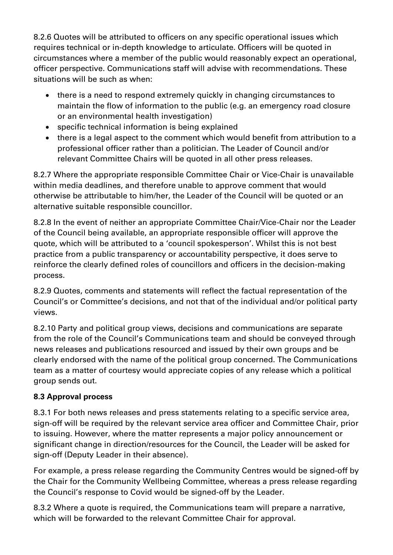8.2.6 Quotes will be attributed to officers on any specific operational issues which requires technical or in-depth knowledge to articulate. Officers will be quoted in circumstances where a member of the public would reasonably expect an operational, officer perspective. Communications staff will advise with recommendations. These situations will be such as when:

- there is a need to respond extremely quickly in changing circumstances to maintain the flow of information to the public (e.g. an emergency road closure or an environmental health investigation)
- specific technical information is being explained
- there is a legal aspect to the comment which would benefit from attribution to a professional officer rather than a politician. The Leader of Council and/or relevant Committee Chairs will be quoted in all other press releases.

8.2.7 Where the appropriate responsible Committee Chair or Vice-Chair is unavailable within media deadlines, and therefore unable to approve comment that would otherwise be attributable to him/her, the Leader of the Council will be quoted or an alternative suitable responsible councillor.

8.2.8 In the event of neither an appropriate Committee Chair/Vice-Chair nor the Leader of the Council being available, an appropriate responsible officer will approve the quote, which will be attributed to a 'council spokesperson'. Whilst this is not best practice from a public transparency or accountability perspective, it does serve to reinforce the clearly defined roles of councillors and officers in the decision-making process.

8.2.9 Quotes, comments and statements will reflect the factual representation of the Council's or Committee's decisions, and not that of the individual and/or political party views.

8.2.10 Party and political group views, decisions and communications are separate from the role of the Council's Communications team and should be conveyed through news releases and publications resourced and issued by their own groups and be clearly endorsed with the name of the political group concerned. The Communications team as a matter of courtesy would appreciate copies of any release which a political group sends out.

# **8.3 Approval process**

8.3.1 For both news releases and press statements relating to a specific service area, sign-off will be required by the relevant service area officer and Committee Chair, prior to issuing. However, where the matter represents a major policy announcement or significant change in direction/resources for the Council, the Leader will be asked for sign-off (Deputy Leader in their absence).

For example, a press release regarding the Community Centres would be signed-off by the Chair for the Community Wellbeing Committee, whereas a press release regarding the Council's response to Covid would be signed-off by the Leader.

8.3.2 Where a quote is required, the Communications team will prepare a narrative, which will be forwarded to the relevant Committee Chair for approval.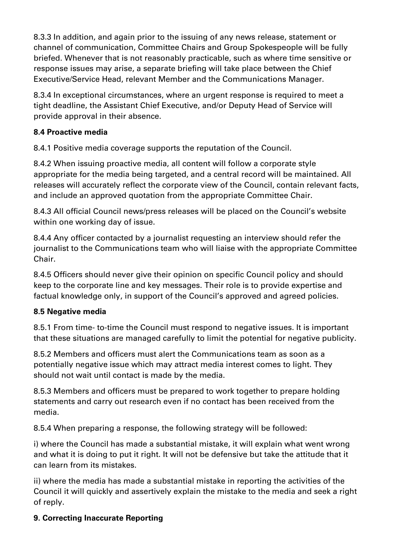8.3.3 In addition, and again prior to the issuing of any news release, statement or channel of communication, Committee Chairs and Group Spokespeople will be fully briefed. Whenever that is not reasonably practicable, such as where time sensitive or response issues may arise, a separate briefing will take place between the Chief Executive/Service Head, relevant Member and the Communications Manager.

8.3.4 In exceptional circumstances, where an urgent response is required to meet a tight deadline, the Assistant Chief Executive, and/or Deputy Head of Service will provide approval in their absence.

### **8.4 Proactive media**

8.4.1 Positive media coverage supports the reputation of the Council.

8.4.2 When issuing proactive media, all content will follow a corporate style appropriate for the media being targeted, and a central record will be maintained. All releases will accurately reflect the corporate view of the Council, contain relevant facts, and include an approved quotation from the appropriate Committee Chair.

8.4.3 All official Council news/press releases will be placed on the Council's website within one working day of issue.

8.4.4 Any officer contacted by a journalist requesting an interview should refer the journalist to the Communications team who will liaise with the appropriate Committee Chair.

8.4.5 Officers should never give their opinion on specific Council policy and should keep to the corporate line and key messages. Their role is to provide expertise and factual knowledge only, in support of the Council's approved and agreed policies.

#### **8.5 Negative media**

8.5.1 From time- to-time the Council must respond to negative issues. It is important that these situations are managed carefully to limit the potential for negative publicity.

8.5.2 Members and officers must alert the Communications team as soon as a potentially negative issue which may attract media interest comes to light. They should not wait until contact is made by the media.

8.5.3 Members and officers must be prepared to work together to prepare holding statements and carry out research even if no contact has been received from the media.

8.5.4 When preparing a response, the following strategy will be followed:

i) where the Council has made a substantial mistake, it will explain what went wrong and what it is doing to put it right. It will not be defensive but take the attitude that it can learn from its mistakes.

ii) where the media has made a substantial mistake in reporting the activities of the Council it will quickly and assertively explain the mistake to the media and seek a right of reply.

### **9. Correcting Inaccurate Reporting**